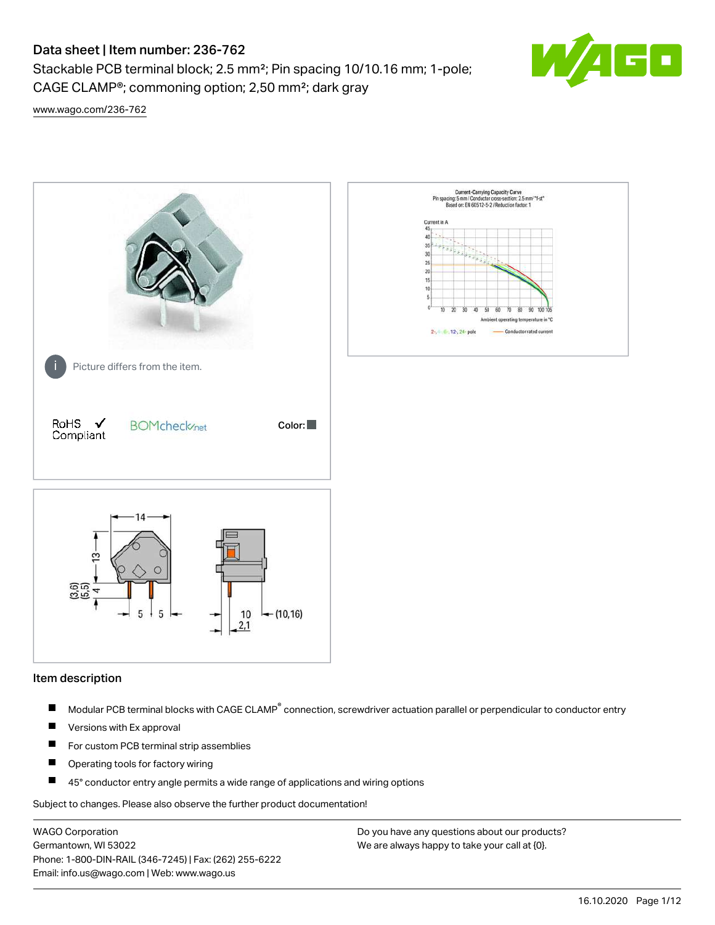# Data sheet | Item number: 236-762

Stackable PCB terminal block; 2.5 mm²; Pin spacing 10/10.16 mm; 1-pole; CAGE CLAMP®; commoning option; 2,50 mm²; dark gray



[www.wago.com/236-762](http://www.wago.com/236-762)



#### Item description

- Modular PCB terminal blocks with CAGE CLAMP<sup>®</sup> connection, screwdriver actuation parallel or perpendicular to conductor entry П
- $\blacksquare$ Versions with Ex approval
- П For custom PCB terminal strip assemblies
- $\blacksquare$ Operating tools for factory wiring
- $\blacksquare$ 45° conductor entry angle permits a wide range of applications and wiring options

Subject to changes. Please also observe the further product documentation!

WAGO Corporation Germantown, WI 53022 Phone: 1-800-DIN-RAIL (346-7245) | Fax: (262) 255-6222 Email: info.us@wago.com | Web: www.wago.us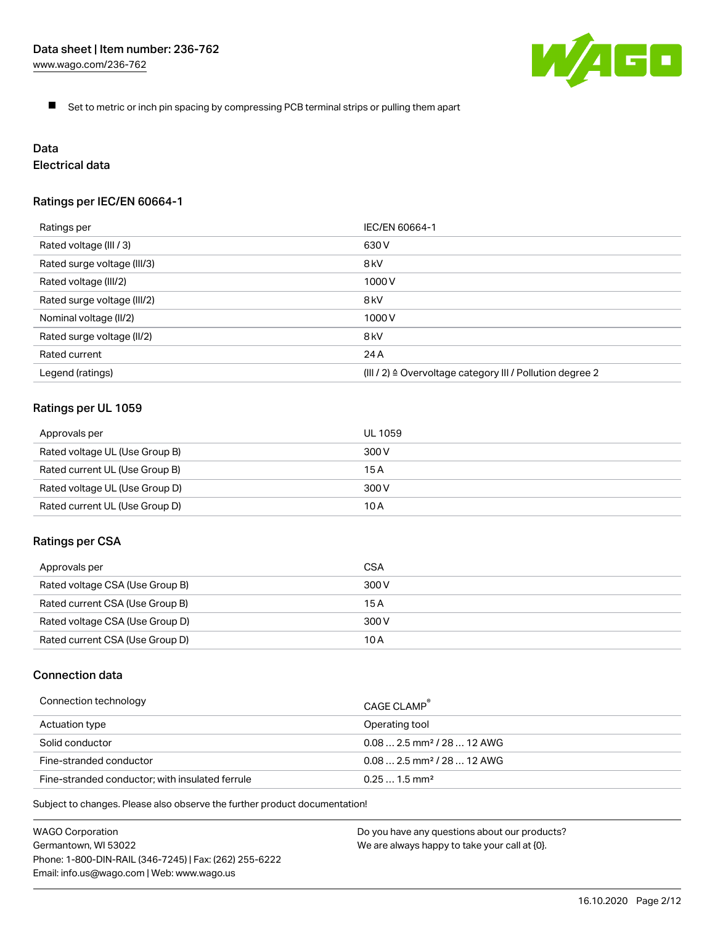

 $\blacksquare$ Set to metric or inch pin spacing by compressing PCB terminal strips or pulling them apart

# Data

# Electrical data

# Ratings per IEC/EN 60664-1

| Ratings per                 | IEC/EN 60664-1                                                        |
|-----------------------------|-----------------------------------------------------------------------|
| Rated voltage (III / 3)     | 630 V                                                                 |
| Rated surge voltage (III/3) | 8 <sub>kV</sub>                                                       |
| Rated voltage (III/2)       | 1000 V                                                                |
| Rated surge voltage (III/2) | 8 <sub>kV</sub>                                                       |
| Nominal voltage (II/2)      | 1000 V                                                                |
| Rated surge voltage (II/2)  | 8 <sub>kV</sub>                                                       |
| Rated current               | 24 A                                                                  |
| Legend (ratings)            | $(III / 2)$ $\triangle$ Overvoltage category III / Pollution degree 2 |

# Ratings per UL 1059

| Approvals per                  | UL 1059 |
|--------------------------------|---------|
| Rated voltage UL (Use Group B) | 300 V   |
| Rated current UL (Use Group B) | 15 A    |
| Rated voltage UL (Use Group D) | 300 V   |
| Rated current UL (Use Group D) | 10 A    |

#### Ratings per CSA

| Approvals per                   | CSA   |
|---------------------------------|-------|
| Rated voltage CSA (Use Group B) | 300 V |
| Rated current CSA (Use Group B) | 15 A  |
| Rated voltage CSA (Use Group D) | 300 V |
| Rated current CSA (Use Group D) | 10 A  |

# Connection data

| Connection technology                           | CAGE CLAMP                              |
|-------------------------------------------------|-----------------------------------------|
| Actuation type                                  | Operating tool                          |
| Solid conductor                                 | $0.08$ 2.5 mm <sup>2</sup> / 28  12 AWG |
| Fine-stranded conductor                         | $0.082.5$ mm <sup>2</sup> / 28  12 AWG  |
| Fine-stranded conductor; with insulated ferrule | $0.251.5$ mm <sup>2</sup>               |

Subject to changes. Please also observe the further product documentation!

WAGO Corporation Germantown, WI 53022 Phone: 1-800-DIN-RAIL (346-7245) | Fax: (262) 255-6222 Email: info.us@wago.com | Web: www.wago.us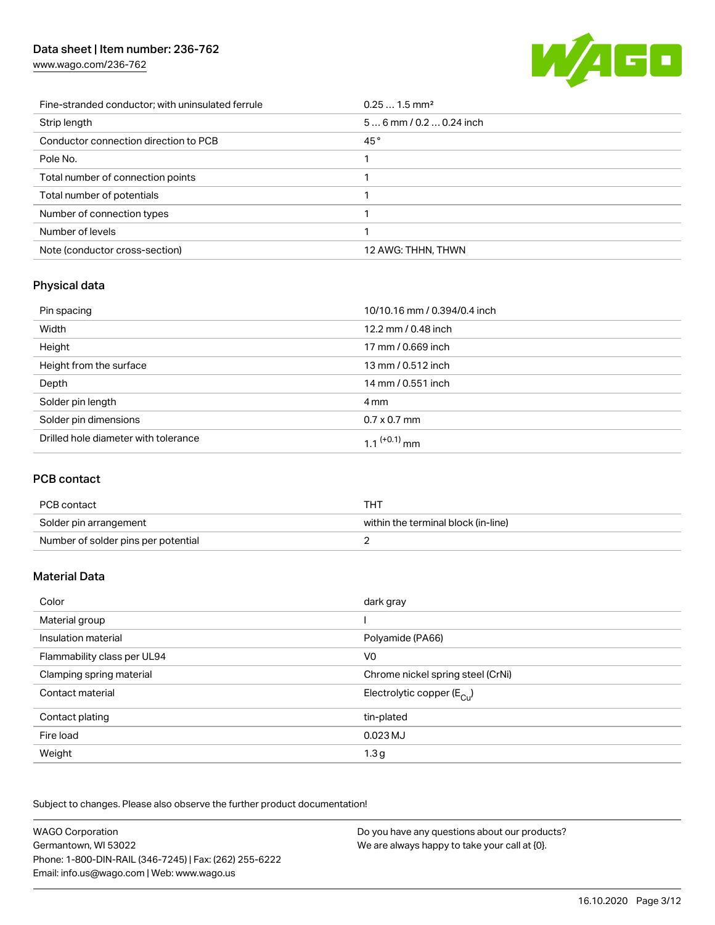# Data sheet | Item number: 236-762

[www.wago.com/236-762](http://www.wago.com/236-762)



| Fine-stranded conductor; with uninsulated ferrule | $0.251.5$ mm <sup>2</sup> |
|---------------------------------------------------|---------------------------|
| Strip length                                      | $56$ mm / 0.2  0.24 inch  |
| Conductor connection direction to PCB             | 45°                       |
| Pole No.                                          |                           |
| Total number of connection points                 |                           |
| Total number of potentials                        |                           |
| Number of connection types                        |                           |
| Number of levels                                  |                           |
| Note (conductor cross-section)                    | 12 AWG: THHN, THWN        |

# Physical data

| Pin spacing                          | 10/10.16 mm / 0.394/0.4 inch |
|--------------------------------------|------------------------------|
| Width                                | 12.2 mm / 0.48 inch          |
| Height                               | 17 mm / 0.669 inch           |
| Height from the surface              | 13 mm / 0.512 inch           |
| Depth                                | 14 mm / 0.551 inch           |
| Solder pin length                    | 4 mm                         |
| Solder pin dimensions                | $0.7 \times 0.7$ mm          |
| Drilled hole diameter with tolerance | 1.1 <sup>(+0.1)</sup> mm     |

# PCB contact

| PCB contact                         | тнт                                 |
|-------------------------------------|-------------------------------------|
| Solder pin arrangement              | within the terminal block (in-line) |
| Number of solder pins per potential |                                     |

# Material Data

| Color                       | dark gray                             |
|-----------------------------|---------------------------------------|
| Material group              |                                       |
| Insulation material         | Polyamide (PA66)                      |
| Flammability class per UL94 | V <sub>0</sub>                        |
| Clamping spring material    | Chrome nickel spring steel (CrNi)     |
| Contact material            | Electrolytic copper $(E_{\text{Cl}})$ |
| Contact plating             | tin-plated                            |
| Fire load                   | 0.023 MJ                              |
| Weight                      | 1.3 <sub>g</sub>                      |

Subject to changes. Please also observe the further product documentation!

| <b>WAGO Corporation</b>                                | Do you have any questions about our products? |
|--------------------------------------------------------|-----------------------------------------------|
| Germantown, WI 53022                                   | We are always happy to take your call at {0}. |
| Phone: 1-800-DIN-RAIL (346-7245)   Fax: (262) 255-6222 |                                               |
| Email: info.us@wago.com   Web: www.wago.us             |                                               |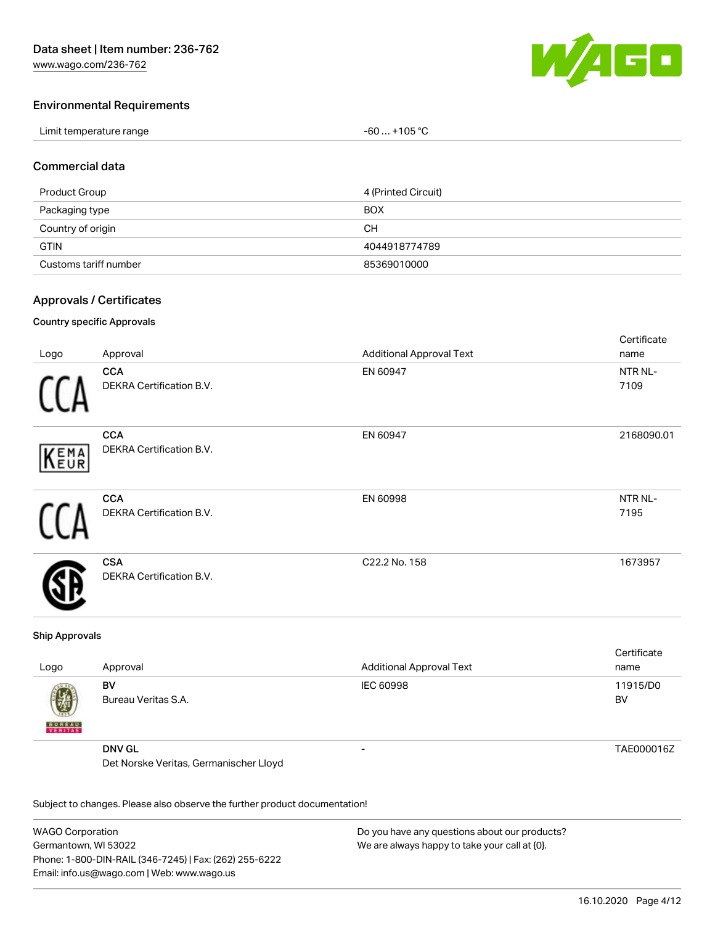

Cortificato

#### Environmental Requirements

| Limit temperature range | $-60+105 °C$ |
|-------------------------|--------------|
|-------------------------|--------------|

#### Commercial data

| Product Group         | 4 (Printed Circuit) |
|-----------------------|---------------------|
| Packaging type        | <b>BOX</b>          |
| Country of origin     | CН                  |
| <b>GTIN</b>           | 4044918774789       |
| Customs tariff number | 85369010000         |

#### Approvals / Certificates

#### Country specific Approvals

|             |                                               |                                 | <b>OCITILIPATE</b> |
|-------------|-----------------------------------------------|---------------------------------|--------------------|
| Logo        | Approval                                      | <b>Additional Approval Text</b> | name               |
|             | <b>CCA</b>                                    | EN 60947                        | NTR NL-            |
|             | DEKRA Certification B.V.                      |                                 | 7109               |
|             | <b>CCA</b>                                    | EN 60947                        | 2168090.01         |
| <b>KEMA</b> | DEKRA Certification B.V.                      |                                 |                    |
|             | <b>CCA</b>                                    | EN 60998                        | NTR NL-            |
|             | <b>DEKRA Certification B.V.</b>               |                                 | 7195               |
|             | <b>CSA</b><br><b>DEKRA Certification B.V.</b> | C22.2 No. 158                   | 1673957            |

#### Ship Approvals

| Logo               | Approval                               | <b>Additional Approval Text</b> | Certificate<br>name |
|--------------------|----------------------------------------|---------------------------------|---------------------|
| 嚩<br><b>BUREAU</b> | BV<br>Bureau Veritas S.A.              | IEC 60998                       | 11915/D0<br>BV      |
|                    | <b>DNV GL</b>                          | -                               | TAE000016Z          |
|                    | Det Norske Veritas, Germanischer Lloyd |                                 |                     |

Subject to changes. Please also observe the further product documentation!

WAGO Corporation Germantown, WI 53022 Phone: 1-800-DIN-RAIL (346-7245) | Fax: (262) 255-6222 Email: info.us@wago.com | Web: www.wago.us Do you have any questions about our products?

We are always happy to take your call at {0}.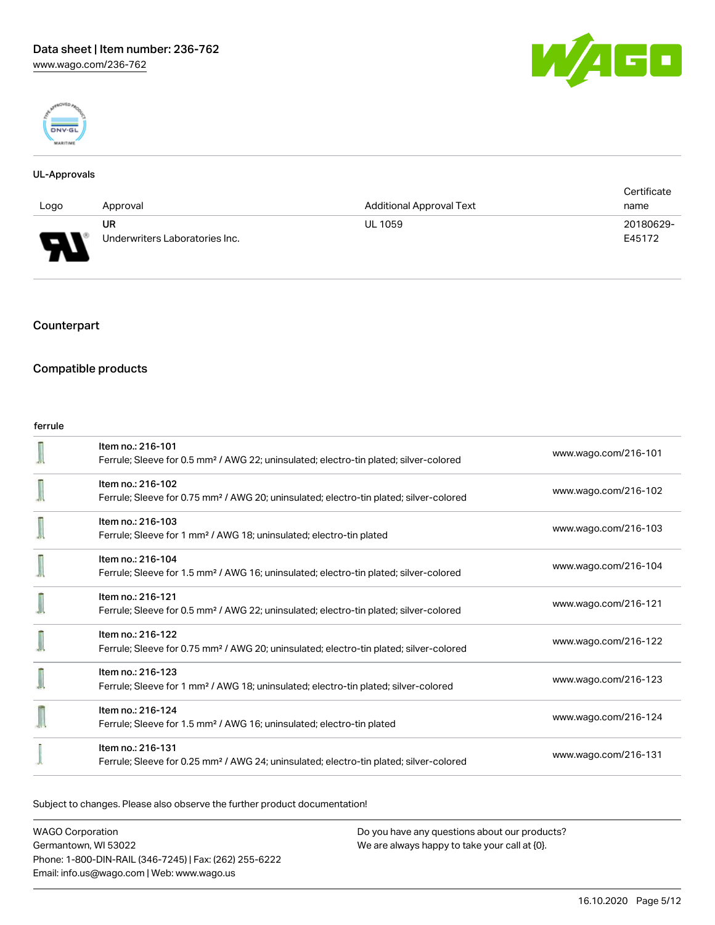



#### UL-Approvals

|          |                                |                          | Certificate |
|----------|--------------------------------|--------------------------|-------------|
| Logo     | Approval                       | Additional Approval Text | name        |
|          | UR                             | <b>UL 1059</b>           | 20180629-   |
| Б<br>. . | Underwriters Laboratories Inc. |                          | E45172      |

# **Counterpart**

## Compatible products

#### ferrule

| Item no.: 216-101<br>Ferrule; Sleeve for 0.5 mm <sup>2</sup> / AWG 22; uninsulated; electro-tin plated; silver-colored  | www.wago.com/216-101 |
|-------------------------------------------------------------------------------------------------------------------------|----------------------|
| Item no.: 216-102<br>Ferrule; Sleeve for 0.75 mm <sup>2</sup> / AWG 20; uninsulated; electro-tin plated; silver-colored | www.wago.com/216-102 |
| Item no.: 216-103<br>Ferrule; Sleeve for 1 mm <sup>2</sup> / AWG 18; uninsulated; electro-tin plated                    | www.wago.com/216-103 |
| Item no.: 216-104<br>Ferrule; Sleeve for 1.5 mm <sup>2</sup> / AWG 16; uninsulated; electro-tin plated; silver-colored  | www.wago.com/216-104 |
| Item no.: 216-121<br>Ferrule; Sleeve for 0.5 mm <sup>2</sup> / AWG 22; uninsulated; electro-tin plated; silver-colored  | www.wago.com/216-121 |
| Item no.: 216-122<br>Ferrule; Sleeve for 0.75 mm <sup>2</sup> / AWG 20; uninsulated; electro-tin plated; silver-colored | www.wago.com/216-122 |
| Item no.: 216-123<br>Ferrule; Sleeve for 1 mm <sup>2</sup> / AWG 18; uninsulated; electro-tin plated; silver-colored    | www.wago.com/216-123 |
| Item no.: 216-124<br>Ferrule; Sleeve for 1.5 mm <sup>2</sup> / AWG 16; uninsulated; electro-tin plated                  | www.wago.com/216-124 |
| Item no.: 216-131<br>Ferrule; Sleeve for 0.25 mm <sup>2</sup> / AWG 24; uninsulated; electro-tin plated; silver-colored | www.wago.com/216-131 |

Subject to changes. Please also observe the further product documentation!

WAGO Corporation Germantown, WI 53022 Phone: 1-800-DIN-RAIL (346-7245) | Fax: (262) 255-6222 Email: info.us@wago.com | Web: www.wago.us Do you have any questions about our products? We are always happy to take your call at {0}.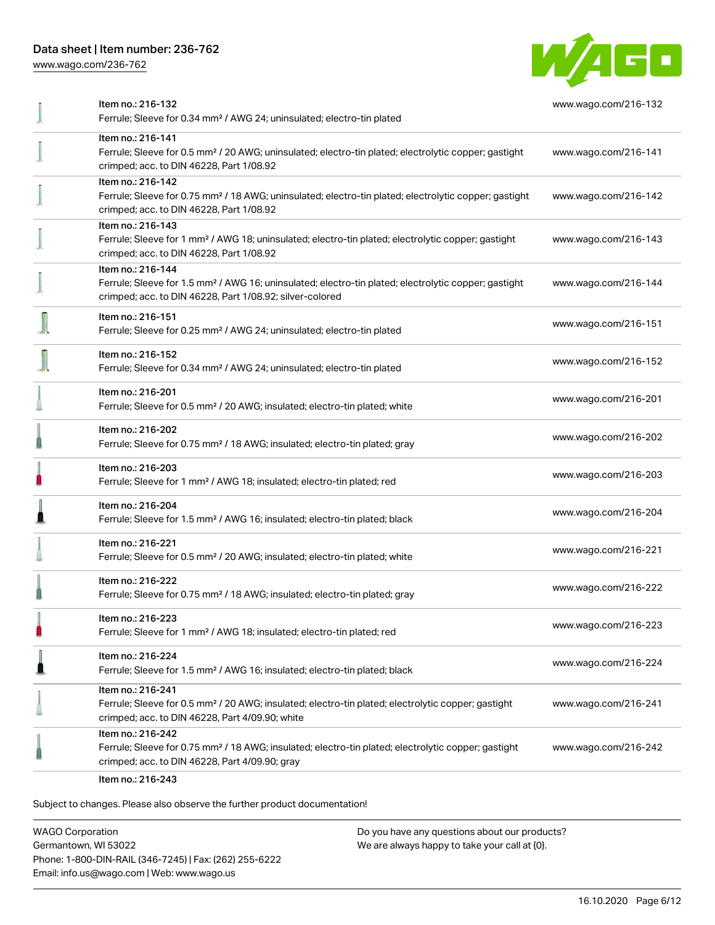# Data sheet | Item number: 236-762

[www.wago.com/236-762](http://www.wago.com/236-762)



| Item no.: 216-132<br>Ferrule; Sleeve for 0.34 mm <sup>2</sup> / AWG 24; uninsulated; electro-tin plated                                                                                           | www.wago.com/216-132 |
|---------------------------------------------------------------------------------------------------------------------------------------------------------------------------------------------------|----------------------|
| Item no.: 216-141<br>Ferrule; Sleeve for 0.5 mm <sup>2</sup> / 20 AWG; uninsulated; electro-tin plated; electrolytic copper; gastight<br>crimped; acc. to DIN 46228, Part 1/08.92                 | www.wago.com/216-141 |
| Item no.: 216-142<br>Ferrule; Sleeve for 0.75 mm <sup>2</sup> / 18 AWG; uninsulated; electro-tin plated; electrolytic copper; gastight<br>crimped; acc. to DIN 46228, Part 1/08.92                | www.wago.com/216-142 |
| Item no.: 216-143<br>Ferrule; Sleeve for 1 mm <sup>2</sup> / AWG 18; uninsulated; electro-tin plated; electrolytic copper; gastight<br>crimped; acc. to DIN 46228, Part 1/08.92                   | www.wago.com/216-143 |
| Item no.: 216-144<br>Ferrule; Sleeve for 1.5 mm <sup>2</sup> / AWG 16; uninsulated; electro-tin plated; electrolytic copper; gastight<br>crimped; acc. to DIN 46228, Part 1/08.92; silver-colored | www.wago.com/216-144 |
| Item no.: 216-151<br>Ferrule; Sleeve for 0.25 mm <sup>2</sup> / AWG 24; uninsulated; electro-tin plated                                                                                           | www.wago.com/216-151 |
| Item no.: 216-152<br>Ferrule; Sleeve for 0.34 mm <sup>2</sup> / AWG 24; uninsulated; electro-tin plated                                                                                           | www.wago.com/216-152 |
| Item no.: 216-201<br>Ferrule; Sleeve for 0.5 mm <sup>2</sup> / 20 AWG; insulated; electro-tin plated; white                                                                                       | www.wago.com/216-201 |
| Item no.: 216-202<br>Ferrule; Sleeve for 0.75 mm <sup>2</sup> / 18 AWG; insulated; electro-tin plated; gray                                                                                       | www.wago.com/216-202 |
| Item no.: 216-203<br>Ferrule; Sleeve for 1 mm <sup>2</sup> / AWG 18; insulated; electro-tin plated; red                                                                                           | www.wago.com/216-203 |
| Item no.: 216-204<br>Ferrule; Sleeve for 1.5 mm <sup>2</sup> / AWG 16; insulated; electro-tin plated; black                                                                                       | www.wago.com/216-204 |
| Item no.: 216-221<br>Ferrule; Sleeve for 0.5 mm <sup>2</sup> / 20 AWG; insulated; electro-tin plated; white                                                                                       | www.wago.com/216-221 |
| Item no.: 216-222<br>Ferrule; Sleeve for 0.75 mm <sup>2</sup> / 18 AWG; insulated; electro-tin plated; gray                                                                                       | www.wago.com/216-222 |
| Item no.: 216-223<br>Ferrule; Sleeve for 1 mm <sup>2</sup> / AWG 18; insulated; electro-tin plated; red                                                                                           | www.wago.com/216-223 |
| Item no.: 216-224<br>Ferrule; Sleeve for 1.5 mm <sup>2</sup> / AWG 16; insulated; electro-tin plated; black                                                                                       | www.wago.com/216-224 |
| Item no.: 216-241<br>Ferrule; Sleeve for 0.5 mm <sup>2</sup> / 20 AWG; insulated; electro-tin plated; electrolytic copper; gastight<br>crimped; acc. to DIN 46228, Part 4/09.90; white            | www.wago.com/216-241 |
| Item no.: 216-242<br>Ferrule; Sleeve for 0.75 mm <sup>2</sup> / 18 AWG; insulated; electro-tin plated; electrolytic copper; gastight<br>crimped; acc. to DIN 46228, Part 4/09.90; gray            | www.wago.com/216-242 |
|                                                                                                                                                                                                   |                      |

Item no.: 216-243

Subject to changes. Please also observe the further product documentation!

WAGO Corporation Germantown, WI 53022 Phone: 1-800-DIN-RAIL (346-7245) | Fax: (262) 255-6222 Email: info.us@wago.com | Web: www.wago.us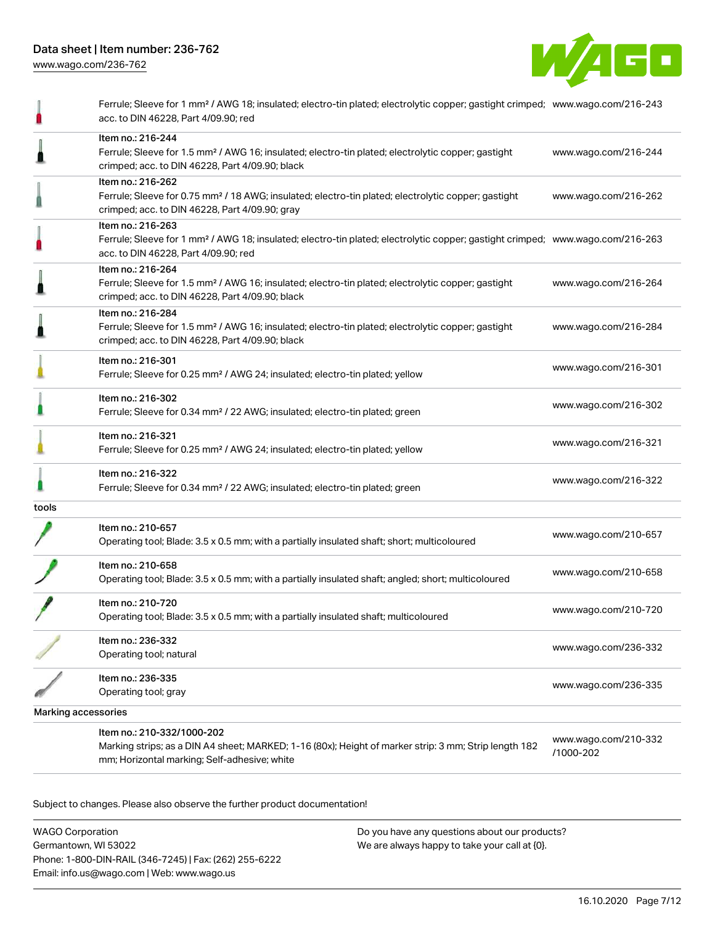

|                            | Ferrule; Sleeve for 1 mm <sup>2</sup> / AWG 18; insulated; electro-tin plated; electrolytic copper; gastight crimped; www.wago.com/216-243<br>acc. to DIN 46228, Part 4/09.90; red                      |                                   |
|----------------------------|---------------------------------------------------------------------------------------------------------------------------------------------------------------------------------------------------------|-----------------------------------|
|                            | Item no.: 216-244<br>Ferrule; Sleeve for 1.5 mm <sup>2</sup> / AWG 16; insulated; electro-tin plated; electrolytic copper; gastight<br>crimped; acc. to DIN 46228, Part 4/09.90; black                  | www.wago.com/216-244              |
|                            | Item no.: 216-262<br>Ferrule; Sleeve for 0.75 mm <sup>2</sup> / 18 AWG; insulated; electro-tin plated; electrolytic copper; gastight<br>crimped; acc. to DIN 46228, Part 4/09.90; gray                  | www.wago.com/216-262              |
|                            | Item no.: 216-263<br>Ferrule; Sleeve for 1 mm <sup>2</sup> / AWG 18; insulated; electro-tin plated; electrolytic copper; gastight crimped; www.wago.com/216-263<br>acc. to DIN 46228, Part 4/09.90; red |                                   |
|                            | Item no.: 216-264<br>Ferrule; Sleeve for 1.5 mm <sup>2</sup> / AWG 16; insulated; electro-tin plated; electrolytic copper; gastight<br>crimped; acc. to DIN 46228, Part 4/09.90; black                  | www.wago.com/216-264              |
|                            | Item no.: 216-284<br>Ferrule; Sleeve for 1.5 mm <sup>2</sup> / AWG 16; insulated; electro-tin plated; electrolytic copper; gastight<br>crimped; acc. to DIN 46228, Part 4/09.90; black                  | www.wago.com/216-284              |
|                            | Item no.: 216-301<br>Ferrule; Sleeve for 0.25 mm <sup>2</sup> / AWG 24; insulated; electro-tin plated; yellow                                                                                           | www.wago.com/216-301              |
|                            | Item no.: 216-302<br>Ferrule; Sleeve for 0.34 mm <sup>2</sup> / 22 AWG; insulated; electro-tin plated; green                                                                                            | www.wago.com/216-302              |
|                            | Item no.: 216-321<br>Ferrule; Sleeve for 0.25 mm <sup>2</sup> / AWG 24; insulated; electro-tin plated; yellow                                                                                           | www.wago.com/216-321              |
|                            | Item no.: 216-322<br>Ferrule; Sleeve for 0.34 mm <sup>2</sup> / 22 AWG; insulated; electro-tin plated; green                                                                                            | www.wago.com/216-322              |
| tools                      |                                                                                                                                                                                                         |                                   |
|                            | Item no.: 210-657<br>Operating tool; Blade: 3.5 x 0.5 mm; with a partially insulated shaft; short; multicoloured                                                                                        | www.wago.com/210-657              |
|                            | Item no.: 210-658<br>Operating tool; Blade: 3.5 x 0.5 mm; with a partially insulated shaft; angled; short; multicoloured                                                                                | www.wago.com/210-658              |
|                            | Item no.: 210-720<br>Operating tool; Blade: 3.5 x 0.5 mm; with a partially insulated shaft; multicoloured                                                                                               | www.wago.com/210-720              |
|                            | Item no.: 236-332<br>Operating tool; natural                                                                                                                                                            | www.wago.com/236-332              |
|                            | Item no.: 236-335<br>Operating tool; gray                                                                                                                                                               | www.wago.com/236-335              |
| <b>Marking accessories</b> |                                                                                                                                                                                                         |                                   |
|                            | Item no.: 210-332/1000-202<br>Marking strips; as a DIN A4 sheet; MARKED; 1-16 (80x); Height of marker strip: 3 mm; Strip length 182<br>mm; Horizontal marking; Self-adhesive; white                     | www.wago.com/210-332<br>/1000-202 |

Subject to changes. Please also observe the further product documentation!

WAGO Corporation Germantown, WI 53022 Phone: 1-800-DIN-RAIL (346-7245) | Fax: (262) 255-6222 Email: info.us@wago.com | Web: www.wago.us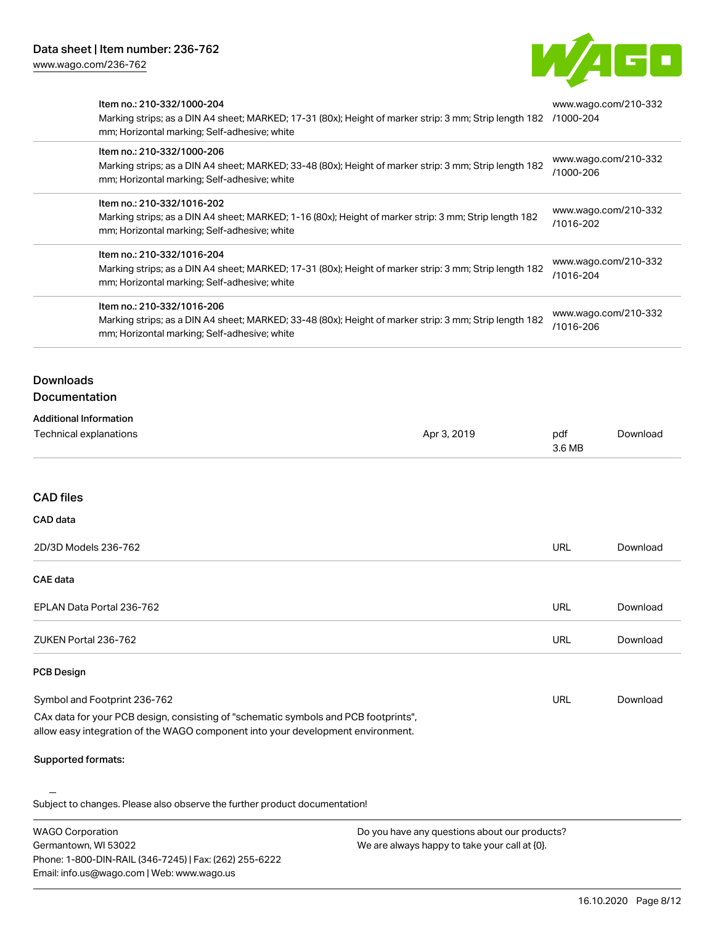Email: info.us@wago.com | Web: www.wago.us



| <b>WAGO Corporation</b><br>Germantown, WI 53022<br>Phone: 1-800-DIN-RAIL (346-7245)   Fax: (262) 255-6222                                                                                      | Do you have any questions about our products?<br>We are always happy to take your call at {0}.         |                                   |                                   |  |
|------------------------------------------------------------------------------------------------------------------------------------------------------------------------------------------------|--------------------------------------------------------------------------------------------------------|-----------------------------------|-----------------------------------|--|
| Subject to changes. Please also observe the further product documentation!                                                                                                                     |                                                                                                        |                                   |                                   |  |
| Supported formats:                                                                                                                                                                             |                                                                                                        |                                   |                                   |  |
| CAx data for your PCB design, consisting of "schematic symbols and PCB footprints",<br>allow easy integration of the WAGO component into your development environment.                         |                                                                                                        |                                   |                                   |  |
| Symbol and Footprint 236-762                                                                                                                                                                   |                                                                                                        | URL                               | Download                          |  |
| <b>PCB Design</b>                                                                                                                                                                              |                                                                                                        |                                   |                                   |  |
| ZUKEN Portal 236-762                                                                                                                                                                           |                                                                                                        | URL                               | Download                          |  |
| EPLAN Data Portal 236-762                                                                                                                                                                      |                                                                                                        | <b>URL</b>                        | Download                          |  |
| <b>CAE</b> data                                                                                                                                                                                |                                                                                                        |                                   |                                   |  |
| 2D/3D Models 236-762                                                                                                                                                                           |                                                                                                        | <b>URL</b>                        | Download                          |  |
| CAD data                                                                                                                                                                                       |                                                                                                        |                                   |                                   |  |
| <b>CAD files</b>                                                                                                                                                                               |                                                                                                        |                                   |                                   |  |
| <b>Technical explanations</b>                                                                                                                                                                  | Apr 3, 2019                                                                                            | pdf<br>3.6 MB                     | Download                          |  |
| <b>Additional Information</b>                                                                                                                                                                  |                                                                                                        |                                   |                                   |  |
| <b>Downloads</b><br><b>Documentation</b>                                                                                                                                                       |                                                                                                        |                                   |                                   |  |
|                                                                                                                                                                                                |                                                                                                        |                                   |                                   |  |
| Item no.: 210-332/1016-206<br>Marking strips; as a DIN A4 sheet; MARKED; 33-48 (80x); Height of marker strip: 3 mm; Strip length 182<br>mm; Horizontal marking; Self-adhesive; white           |                                                                                                        | www.wago.com/210-332<br>/1016-206 |                                   |  |
| Item no.: 210-332/1016-204<br>mm; Horizontal marking; Self-adhesive; white                                                                                                                     | Marking strips; as a DIN A4 sheet; MARKED; 17-31 (80x); Height of marker strip: 3 mm; Strip length 182 |                                   | www.wago.com/210-332<br>/1016-204 |  |
| Item no.: 210-332/1016-202<br>Marking strips; as a DIN A4 sheet; MARKED; 1-16 (80x); Height of marker strip: 3 mm; Strip length 182<br>mm; Horizontal marking; Self-adhesive; white            |                                                                                                        | www.wago.com/210-332<br>/1016-202 |                                   |  |
| Item no.: 210-332/1000-206<br>mm; Horizontal marking; Self-adhesive; white                                                                                                                     | Marking strips; as a DIN A4 sheet; MARKED; 33-48 (80x); Height of marker strip: 3 mm; Strip length 182 |                                   | www.wago.com/210-332<br>/1000-206 |  |
| Item no.: 210-332/1000-204<br>Marking strips; as a DIN A4 sheet; MARKED; 17-31 (80x); Height of marker strip: 3 mm; Strip length 182 /1000-204<br>mm; Horizontal marking; Self-adhesive; white |                                                                                                        | www.wago.com/210-332              |                                   |  |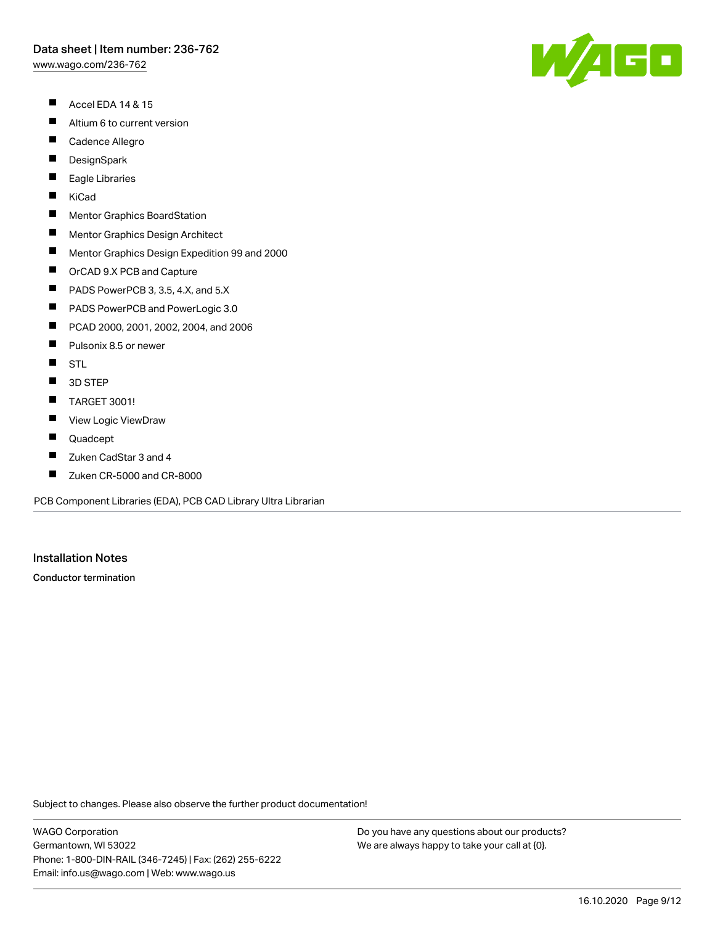[www.wago.com/236-762](http://www.wago.com/236-762)

- $\blacksquare$ Accel EDA 14 & 15
- $\blacksquare$ Altium 6 to current version
- $\blacksquare$ Cadence Allegro
- $\blacksquare$ **DesignSpark**
- П Eagle Libraries
- $\blacksquare$ KiCad
- $\blacksquare$ Mentor Graphics BoardStation
- $\blacksquare$ Mentor Graphics Design Architect
- $\blacksquare$ Mentor Graphics Design Expedition 99 and 2000
- $\blacksquare$ OrCAD 9.X PCB and Capture
- $\blacksquare$ PADS PowerPCB 3, 3.5, 4.X, and 5.X
- $\blacksquare$ PADS PowerPCB and PowerLogic 3.0
- $\blacksquare$ PCAD 2000, 2001, 2002, 2004, and 2006
- $\blacksquare$ Pulsonix 8.5 or newer
- $\blacksquare$ **STL**
- $\blacksquare$ 3D STEP
- $\blacksquare$ TARGET 3001!
- $\blacksquare$ View Logic ViewDraw
- $\blacksquare$ Quadcept
- П Zuken CadStar 3 and 4
- $\blacksquare$ Zuken CR-5000 and CR-8000

PCB Component Libraries (EDA), PCB CAD Library Ultra Librarian

# Installation Notes

Conductor termination

Subject to changes. Please also observe the further product documentation!

WAGO Corporation Germantown, WI 53022 Phone: 1-800-DIN-RAIL (346-7245) | Fax: (262) 255-6222 Email: info.us@wago.com | Web: www.wago.us

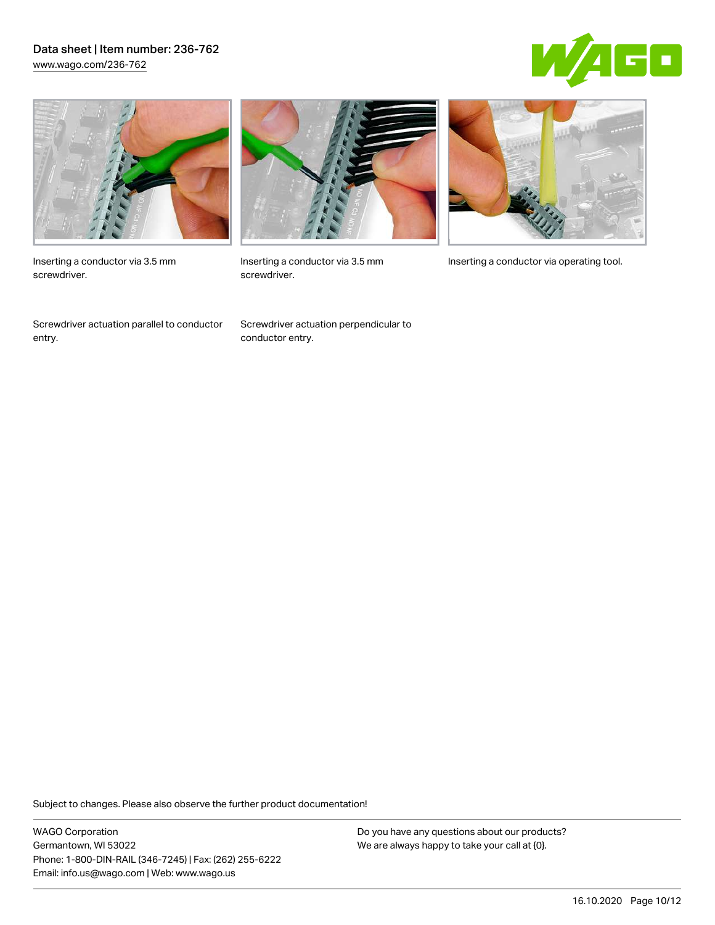## Data sheet | Item number: 236-762 [www.wago.com/236-762](http://www.wago.com/236-762)





Inserting a conductor via 3.5 mm screwdriver.

Screwdriver actuation parallel to conductor entry.



screwdriver.

Screwdriver actuation perpendicular to conductor entry.



Inserting a conductor via 3.5 mm Inserting a conductor via operating tool.

Subject to changes. Please also observe the further product documentation!

WAGO Corporation Germantown, WI 53022 Phone: 1-800-DIN-RAIL (346-7245) | Fax: (262) 255-6222 Email: info.us@wago.com | Web: www.wago.us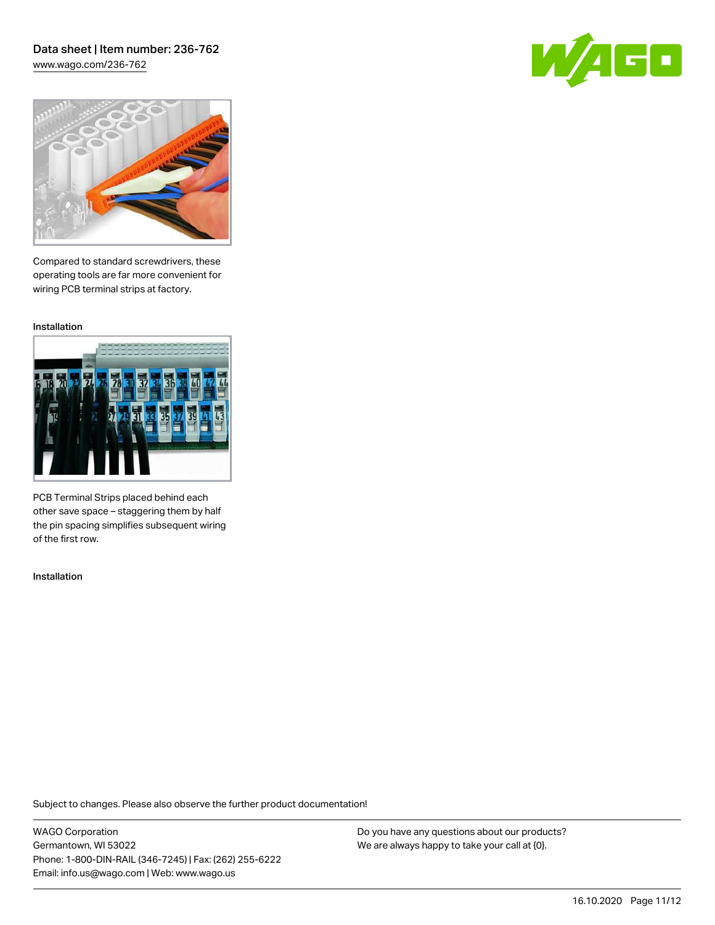## Data sheet | Item number: 236-762 [www.wago.com/236-762](http://www.wago.com/236-762)





Compared to standard screwdrivers, these operating tools are far more convenient for wiring PCB terminal strips at factory.

Installation



PCB Terminal Strips placed behind each other save space – staggering them by half the pin spacing simplifies subsequent wiring of the first row.

Installation

Subject to changes. Please also observe the further product documentation!

WAGO Corporation Germantown, WI 53022 Phone: 1-800-DIN-RAIL (346-7245) | Fax: (262) 255-6222 Email: info.us@wago.com | Web: www.wago.us